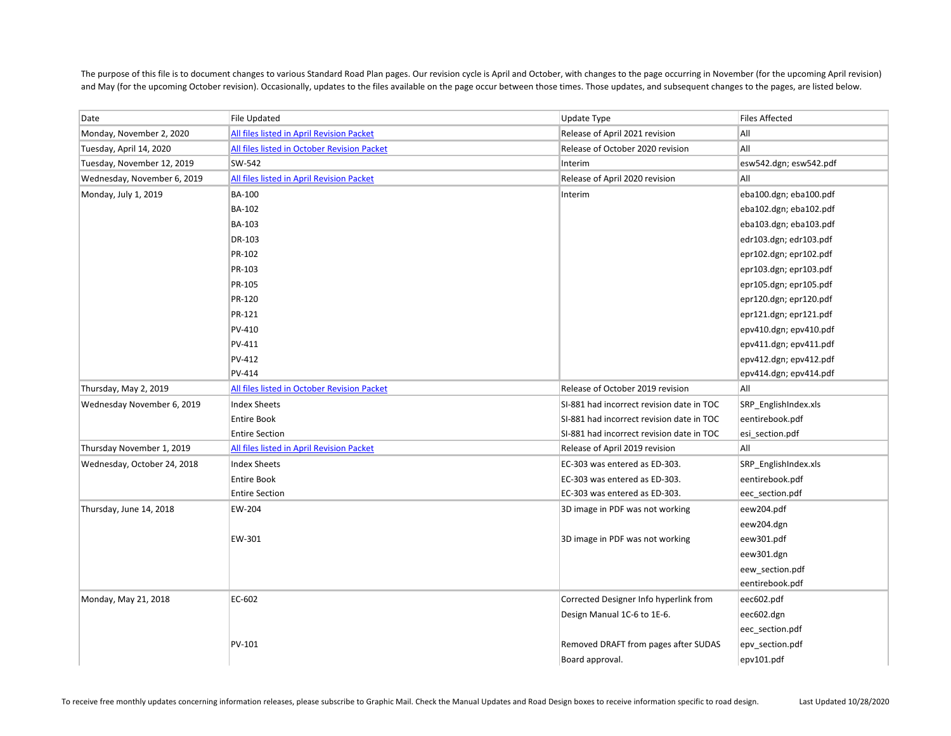The purpose of this file is to document changes to various Standard Road Plan pages. Our revision cycle is April and October, with changes to the page occurring in November (for the upcoming April revision) and May (for the upcoming October revision). Occasionally, updates to the files available on the page occur between those times. Those updates, and subsequent changes to the pages, are listed below.

| Date                        | <b>File Updated</b>                         | Update Type                               | <b>Files Affected</b>  |
|-----------------------------|---------------------------------------------|-------------------------------------------|------------------------|
| Monday, November 2, 2020    | All files listed in April Revision Packet   | Release of April 2021 revision            | All                    |
| Tuesday, April 14, 2020     | All files listed in October Revision Packet | Release of October 2020 revision          | All                    |
| Tuesday, November 12, 2019  | SW-542                                      | Interim                                   | esw542.dgn; esw542.pdf |
| Wednesday, November 6, 2019 | All files listed in April Revision Packet   | Release of April 2020 revision            | All                    |
| Monday, July 1, 2019        | <b>BA-100</b>                               | Interim                                   | eba100.dgn; eba100.pdf |
|                             | <b>BA-102</b>                               |                                           | eba102.dgn; eba102.pdf |
|                             | BA-103                                      |                                           | eba103.dgn; eba103.pdf |
|                             | DR-103                                      |                                           | edr103.dgn; edr103.pdf |
|                             | PR-102                                      |                                           | epr102.dgn; epr102.pdf |
|                             | PR-103                                      |                                           | epr103.dgn; epr103.pdf |
|                             | PR-105                                      |                                           | epr105.dgn; epr105.pdf |
|                             | PR-120                                      |                                           | epr120.dgn; epr120.pdf |
|                             | PR-121                                      |                                           | epr121.dgn; epr121.pdf |
|                             | PV-410                                      |                                           | epv410.dgn; epv410.pdf |
|                             | PV-411                                      |                                           | epv411.dgn; epv411.pdf |
|                             | PV-412                                      |                                           | epv412.dgn; epv412.pdf |
|                             | PV-414                                      |                                           | epv414.dgn; epv414.pdf |
| Thursday, May 2, 2019       | All files listed in October Revision Packet | Release of October 2019 revision          | All                    |
| Wednesday November 6, 2019  | <b>Index Sheets</b>                         | SI-881 had incorrect revision date in TOC | SRP_EnglishIndex.xls   |
|                             | <b>Entire Book</b>                          | SI-881 had incorrect revision date in TOC | eentirebook.pdf        |
|                             | <b>Entire Section</b>                       | SI-881 had incorrect revision date in TOC | esi_section.pdf        |
| Thursday November 1, 2019   | All files listed in April Revision Packet   | Release of April 2019 revision            | All                    |
| Wednesday, October 24, 2018 | <b>Index Sheets</b>                         | EC-303 was entered as ED-303.             | SRP_EnglishIndex.xls   |
|                             | <b>Entire Book</b>                          | EC-303 was entered as ED-303.             | eentirebook.pdf        |
|                             | <b>Entire Section</b>                       | EC-303 was entered as ED-303.             | eec_section.pdf        |
| Thursday, June 14, 2018     | EW-204                                      | 3D image in PDF was not working           | eew204.pdf             |
|                             |                                             |                                           | eew204.dgn             |
|                             | EW-301                                      | 3D image in PDF was not working           | eew301.pdf             |
|                             |                                             |                                           | eew301.dgn             |
|                             |                                             |                                           | eew_section.pdf        |
|                             |                                             |                                           | eentirebook.pdf        |
| Monday, May 21, 2018        | EC-602                                      | Corrected Designer Info hyperlink from    | eec602.pdf             |
|                             |                                             | Design Manual 1C-6 to 1E-6.               | eec602.dgn             |
|                             |                                             |                                           | eec_section.pdf        |
|                             | PV-101                                      | Removed DRAFT from pages after SUDAS      | epv_section.pdf        |
|                             |                                             | Board approval.                           | epv101.pdf             |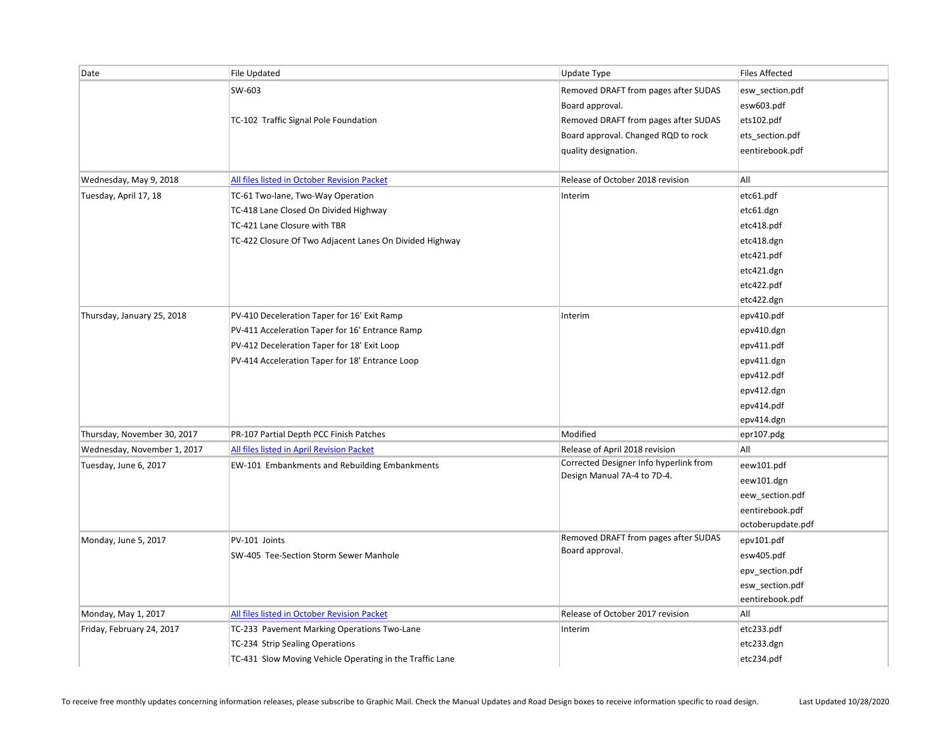| Date                        | File Updated                                             | Update Type                            | <b>Files Affected</b> |
|-----------------------------|----------------------------------------------------------|----------------------------------------|-----------------------|
|                             | SW-603                                                   | Removed DRAFT from pages after SUDAS   | esw_section.pdf       |
|                             |                                                          | Board approval.                        | esw603.pdf            |
|                             | TC-102 Traffic Signal Pole Foundation                    | Removed DRAFT from pages after SUDAS   | ets102.pdf            |
|                             |                                                          | Board approval. Changed RQD to rock    | ets_section.pdf       |
|                             |                                                          | quality designation.                   | eentirebook.pdf       |
|                             |                                                          |                                        |                       |
| Wednesday, May 9, 2018      | All files listed in October Revision Packet              | Release of October 2018 revision       | All                   |
| Tuesday, April 17, 18       | TC-61 Two-lane, Two-Way Operation                        | Interim                                | etc61.pdf             |
|                             | TC-418 Lane Closed On Divided Highway                    |                                        | etc61.dgn             |
|                             | TC-421 Lane Closure with TBR                             |                                        | etc418.pdf            |
|                             | TC-422 Closure Of Two Adjacent Lanes On Divided Highway  |                                        | etc418.dgn            |
|                             |                                                          |                                        | etc421.pdf            |
|                             |                                                          |                                        | etc421.dgn            |
|                             |                                                          |                                        | etc422.pdf            |
|                             |                                                          |                                        | etc422.dgn            |
| Thursday, January 25, 2018  | PV-410 Deceleration Taper for 16' Exit Ramp              | Interim                                | epv410.pdf            |
|                             | PV-411 Acceleration Taper for 16' Entrance Ramp          |                                        | epv410.dgn            |
|                             | PV-412 Deceleration Taper for 18' Exit Loop              |                                        | epv411.pdf            |
|                             | PV-414 Acceleration Taper for 18' Entrance Loop          |                                        | epv411.dgn            |
|                             |                                                          |                                        | epv412.pdf            |
|                             |                                                          |                                        | epv412.dgn            |
|                             |                                                          |                                        | epv414.pdf            |
|                             |                                                          |                                        | epv414.dgn            |
| Thursday, November 30, 2017 | PR-107 Partial Depth PCC Finish Patches                  | Modified                               | epr107.pdg            |
| Wednesday, November 1, 2017 | All files listed in April Revision Packet                | Release of April 2018 revision         | All                   |
| Tuesday, June 6, 2017       | EW-101 Embankments and Rebuilding Embankments            | Corrected Designer Info hyperlink from | eew101.pdf            |
|                             |                                                          | Design Manual 7A-4 to 7D-4.            | eew101.dgn            |
|                             |                                                          |                                        | eew_section.pdf       |
|                             |                                                          |                                        | eentirebook.pdf       |
|                             |                                                          |                                        | octoberupdate.pdf     |
| Monday, June 5, 2017        | PV-101 Joints                                            | Removed DRAFT from pages after SUDAS   | epv101.pdf            |
|                             | SW-405 Tee-Section Storm Sewer Manhole                   | Board approval.                        | esw405.pdf            |
|                             |                                                          |                                        | epv_section.pdf       |
|                             |                                                          |                                        | esw_section.pdf       |
|                             |                                                          |                                        | eentirebook.pdf       |
| Monday, May 1, 2017         | All files listed in October Revision Packet              | Release of October 2017 revision       | All                   |
| Friday, February 24, 2017   | TC-233 Pavement Marking Operations Two-Lane              | Interim                                | etc233.pdf            |
|                             | TC-234 Strip Sealing Operations                          |                                        | etc233.dgn            |
|                             | TC-431 Slow Moving Vehicle Operating in the Traffic Lane |                                        | etc234.pdf            |